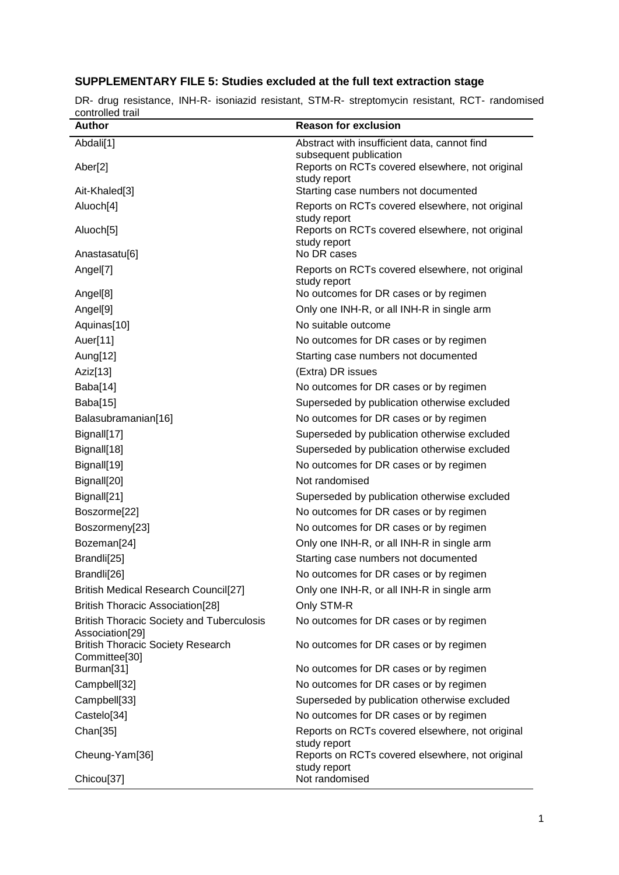## **SUPPLEMENTARY FILE 5: Studies excluded at the full text extraction stage**

| controlled trail                                          |                                                                           |
|-----------------------------------------------------------|---------------------------------------------------------------------------|
| <b>Author</b>                                             | <b>Reason for exclusion</b>                                               |
| Abdali[1]                                                 | Abstract with insufficient data, cannot find                              |
| Aber[2]                                                   | subsequent publication<br>Reports on RCTs covered elsewhere, not original |
|                                                           | study report                                                              |
| Ait-Khaled[3]                                             | Starting case numbers not documented                                      |
| Aluoch[4]                                                 | Reports on RCTs covered elsewhere, not original                           |
|                                                           | study report                                                              |
| Aluoch[5]                                                 | Reports on RCTs covered elsewhere, not original<br>study report           |
| Anastasatu[6]                                             | No DR cases                                                               |
| Angel[7]                                                  | Reports on RCTs covered elsewhere, not original                           |
|                                                           | study report                                                              |
| Angel[8]                                                  | No outcomes for DR cases or by regimen                                    |
| Angel[9]                                                  | Only one INH-R, or all INH-R in single arm                                |
| Aquinas[10]                                               | No suitable outcome                                                       |
| Auer[11]                                                  | No outcomes for DR cases or by regimen                                    |
| Aung[12]                                                  | Starting case numbers not documented                                      |
| Aziz[13]                                                  | (Extra) DR issues                                                         |
| Baba[14]                                                  | No outcomes for DR cases or by regimen                                    |
| Baba[15]                                                  | Superseded by publication otherwise excluded                              |
| Balasubramanian[16]                                       | No outcomes for DR cases or by regimen                                    |
| Bignall[17]                                               | Superseded by publication otherwise excluded                              |
| Bignall[18]                                               | Superseded by publication otherwise excluded                              |
| Bignall[19]                                               | No outcomes for DR cases or by regimen                                    |
| Bignall[20]                                               | Not randomised                                                            |
| Bignall[21]                                               | Superseded by publication otherwise excluded                              |
| Boszorme[22]                                              | No outcomes for DR cases or by regimen                                    |
| Boszormeny[23]                                            | No outcomes for DR cases or by regimen                                    |
| Bozeman[24]                                               | Only one INH-R, or all INH-R in single arm                                |
| Brandli[25]                                               | Starting case numbers not documented                                      |
| Brandli[26]                                               | No outcomes for DR cases or by regimen                                    |
| <b>British Medical Research Council[27]</b>               | Only one INH-R, or all INH-R in single arm                                |
| <b>British Thoracic Association[28]</b>                   | Only STM-R                                                                |
| <b>British Thoracic Society and Tuberculosis</b>          | No outcomes for DR cases or by regimen                                    |
| Association[29]                                           |                                                                           |
| <b>British Thoracic Society Research</b><br>Committee[30] | No outcomes for DR cases or by regimen                                    |
| Burman[31]                                                | No outcomes for DR cases or by regimen                                    |
| Campbell[32]                                              | No outcomes for DR cases or by regimen                                    |
| Campbell[33]                                              | Superseded by publication otherwise excluded                              |
| Castelo[34]                                               | No outcomes for DR cases or by regimen                                    |
| Chan[35]                                                  | Reports on RCTs covered elsewhere, not original                           |
|                                                           | study report                                                              |
| Cheung-Yam[36]                                            | Reports on RCTs covered elsewhere, not original                           |
|                                                           |                                                                           |
| Chicou[37]                                                | study report<br>Not randomised                                            |

DR- drug resistance, INH-R- isoniazid resistant, STM-R- streptomycin resistant, RCT- randomised controlled trail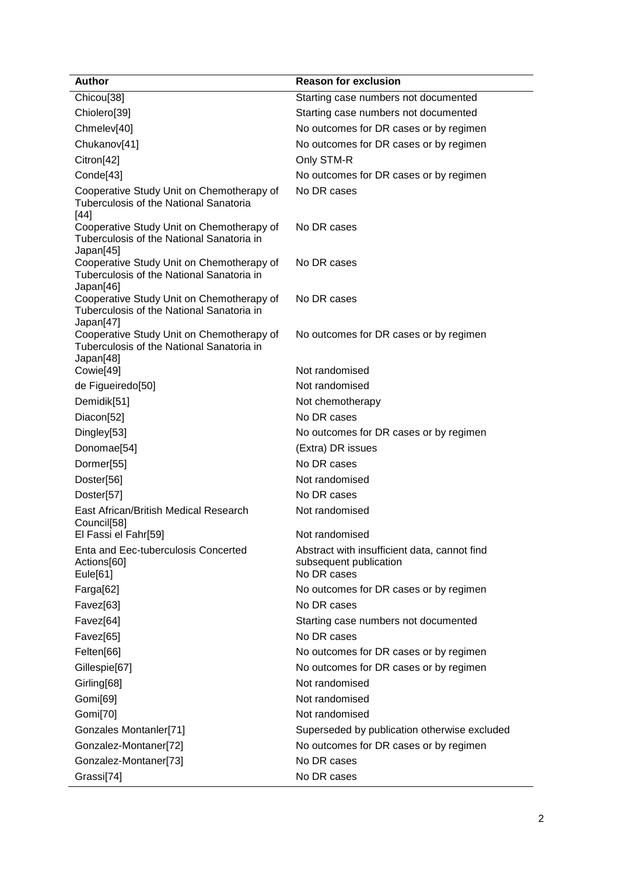| <b>Author</b>                                                                                                    | <b>Reason for exclusion</b>                                                           |
|------------------------------------------------------------------------------------------------------------------|---------------------------------------------------------------------------------------|
| Chicou <sup>[38]</sup>                                                                                           | Starting case numbers not documented                                                  |
| Chiolero[39]                                                                                                     | Starting case numbers not documented                                                  |
| Chmelev[40]                                                                                                      | No outcomes for DR cases or by regimen                                                |
| Chukanov[41]                                                                                                     | No outcomes for DR cases or by regimen                                                |
| Citron[42]                                                                                                       | Only STM-R                                                                            |
| Conde[43]                                                                                                        | No outcomes for DR cases or by regimen                                                |
| Cooperative Study Unit on Chemotherapy of<br>Tuberculosis of the National Sanatoria<br>$[44]$                    | No DR cases                                                                           |
| Cooperative Study Unit on Chemotherapy of<br>Tuberculosis of the National Sanatoria in<br>Japan[45]              | No DR cases                                                                           |
| Cooperative Study Unit on Chemotherapy of<br>Tuberculosis of the National Sanatoria in<br>Japan[46]              | No DR cases                                                                           |
| Cooperative Study Unit on Chemotherapy of<br>Tuberculosis of the National Sanatoria in                           | No DR cases                                                                           |
| Japan[47]<br>Cooperative Study Unit on Chemotherapy of<br>Tuberculosis of the National Sanatoria in<br>Japan[48] | No outcomes for DR cases or by regimen                                                |
| Cowie[49]                                                                                                        | Not randomised                                                                        |
| de Figueiredo[50]                                                                                                | Not randomised                                                                        |
| Demidik[51]                                                                                                      | Not chemotherapy                                                                      |
| Diacon[52]                                                                                                       | No DR cases                                                                           |
| Dingley[53]                                                                                                      | No outcomes for DR cases or by regimen                                                |
| Donomae[54]                                                                                                      | (Extra) DR issues                                                                     |
| Dormer[55]                                                                                                       | No DR cases                                                                           |
| Doster[56]                                                                                                       | Not randomised                                                                        |
| Doster[57]                                                                                                       | No DR cases                                                                           |
| East African/British Medical Research<br>Council[58]                                                             | Not randomised                                                                        |
| El Fassi el Fahr[59]                                                                                             | Not randomised                                                                        |
| Enta and Eec-tuberculosis Concerted<br>Actions[60]<br>Eule[61]                                                   | Abstract with insufficient data, cannot find<br>subsequent publication<br>No DR cases |
| Farga[62]                                                                                                        | No outcomes for DR cases or by regimen                                                |
| Favez[63]                                                                                                        | No DR cases                                                                           |
| Favez[64]                                                                                                        | Starting case numbers not documented                                                  |
| Favez[65]                                                                                                        | No DR cases                                                                           |
| Felten[66]                                                                                                       | No outcomes for DR cases or by regimen                                                |
| Gillespie[67]                                                                                                    | No outcomes for DR cases or by regimen                                                |
| Girling[68]                                                                                                      | Not randomised                                                                        |
| Gomi[69]                                                                                                         | Not randomised                                                                        |
| Gomi[70]                                                                                                         | Not randomised                                                                        |
| Gonzales Montanler[71]                                                                                           | Superseded by publication otherwise excluded                                          |
| Gonzalez-Montaner[72]                                                                                            | No outcomes for DR cases or by regimen                                                |
| Gonzalez-Montaner[73]                                                                                            | No DR cases                                                                           |
| Grassi[74]                                                                                                       | No DR cases                                                                           |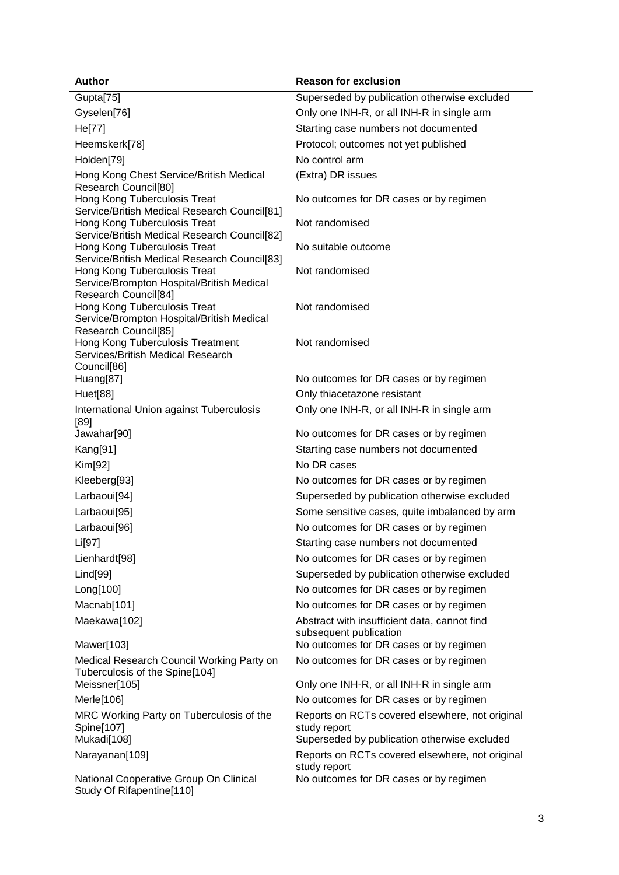| <b>Author</b>                                                                                     | <b>Reason for exclusion</b>                                            |
|---------------------------------------------------------------------------------------------------|------------------------------------------------------------------------|
| Gupta[75]                                                                                         | Superseded by publication otherwise excluded                           |
| Gyselen[76]                                                                                       | Only one INH-R, or all INH-R in single arm                             |
| He[77]                                                                                            | Starting case numbers not documented                                   |
| Heemskerk[78]                                                                                     | Protocol; outcomes not yet published                                   |
| Holden[79]                                                                                        | No control arm                                                         |
| Hong Kong Chest Service/British Medical<br>Research Council[80]                                   | (Extra) DR issues                                                      |
| Hong Kong Tuberculosis Treat<br>Service/British Medical Research Council[81]                      | No outcomes for DR cases or by regimen                                 |
| Hong Kong Tuberculosis Treat<br>Service/British Medical Research Council[82]                      | Not randomised                                                         |
| Hong Kong Tuberculosis Treat<br>Service/British Medical Research Council[83]                      | No suitable outcome                                                    |
| Hong Kong Tuberculosis Treat<br>Service/Brompton Hospital/British Medical                         | Not randomised                                                         |
| Research Council[84]<br>Hong Kong Tuberculosis Treat<br>Service/Brompton Hospital/British Medical | Not randomised                                                         |
| Research Council[85]<br>Hong Kong Tuberculosis Treatment                                          | Not randomised                                                         |
| Services/British Medical Research<br>Council[86]                                                  |                                                                        |
| Huang[87]                                                                                         | No outcomes for DR cases or by regimen                                 |
| Huet[88]                                                                                          | Only thiacetazone resistant                                            |
| International Union against Tuberculosis<br>[89]                                                  | Only one INH-R, or all INH-R in single arm                             |
| Jawahar[90]                                                                                       | No outcomes for DR cases or by regimen                                 |
| Kang[91]                                                                                          | Starting case numbers not documented                                   |
| Kim[92]                                                                                           | No DR cases                                                            |
| Kleeberg[93]                                                                                      | No outcomes for DR cases or by regimen                                 |
| Larbaoui[94]                                                                                      | Superseded by publication otherwise excluded                           |
| Larbaoui[95]                                                                                      | Some sensitive cases, quite imbalanced by arm                          |
| Larbaoui[96]                                                                                      | No outcomes for DR cases or by regimen                                 |
| Li[97]                                                                                            | Starting case numbers not documented                                   |
| Lienhardt <sup>[98]</sup>                                                                         | No outcomes for DR cases or by regimen                                 |
| Lind[99]                                                                                          | Superseded by publication otherwise excluded                           |
| Long[100]                                                                                         | No outcomes for DR cases or by regimen                                 |
| Macnab[101]                                                                                       | No outcomes for DR cases or by regimen                                 |
| Maekawa[102]                                                                                      | Abstract with insufficient data, cannot find<br>subsequent publication |
| Mawer[103]                                                                                        | No outcomes for DR cases or by regimen                                 |
| Medical Research Council Working Party on<br>Tuberculosis of the Spine[104]                       | No outcomes for DR cases or by regimen                                 |
| Meissner[105]                                                                                     | Only one INH-R, or all INH-R in single arm                             |
| Merle[106]                                                                                        | No outcomes for DR cases or by regimen                                 |
| MRC Working Party on Tuberculosis of the<br>Spine[107]                                            | Reports on RCTs covered elsewhere, not original<br>study report        |
| Mukadi[108]                                                                                       | Superseded by publication otherwise excluded                           |
| Narayanan[109]                                                                                    | Reports on RCTs covered elsewhere, not original<br>study report        |
| National Cooperative Group On Clinical<br>Study Of Rifapentine[110]                               | No outcomes for DR cases or by regimen                                 |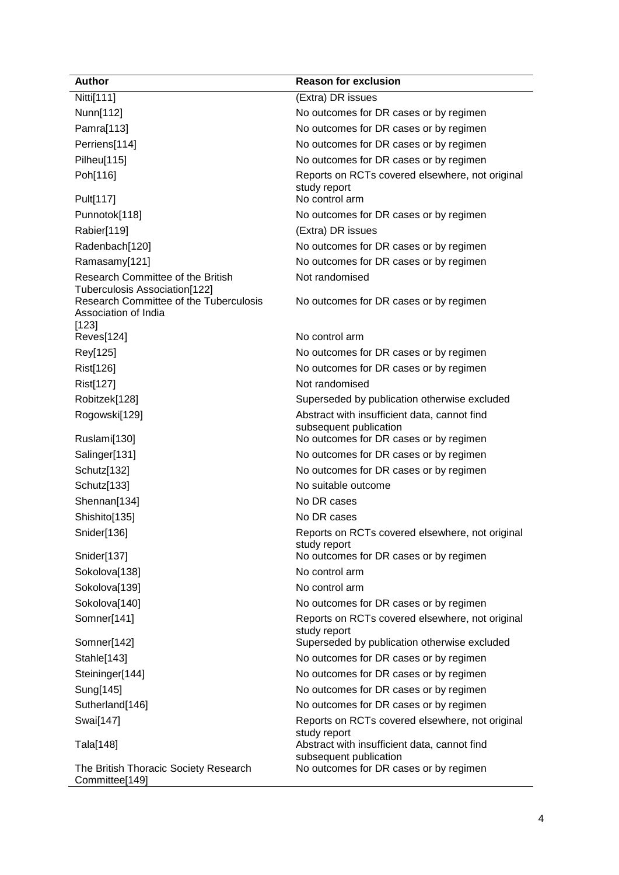| <b>Author</b>                                           | <b>Reason for exclusion</b>                                     |
|---------------------------------------------------------|-----------------------------------------------------------------|
| Nitti[111]                                              | (Extra) DR issues                                               |
| Nunn[112]                                               | No outcomes for DR cases or by regimen                          |
| Pamra[113]                                              | No outcomes for DR cases or by regimen                          |
| Perriens[114]                                           | No outcomes for DR cases or by regimen                          |
| Pilheu[115]                                             | No outcomes for DR cases or by regimen                          |
| Poh[116]                                                | Reports on RCTs covered elsewhere, not original                 |
| Pult[117]                                               | study report<br>No control arm                                  |
| Punnotok[118]                                           | No outcomes for DR cases or by regimen                          |
| Rabier[119]                                             | (Extra) DR issues                                               |
| Radenbach[120]                                          | No outcomes for DR cases or by regimen                          |
| Ramasamy[121]                                           | No outcomes for DR cases or by regimen                          |
| Research Committee of the British                       | Not randomised                                                  |
| Tuberculosis Association[122]                           |                                                                 |
| Research Committee of the Tuberculosis                  | No outcomes for DR cases or by regimen                          |
| Association of India<br>[123]                           |                                                                 |
| Reves[124]                                              | No control arm                                                  |
| Rey[125]                                                | No outcomes for DR cases or by regimen                          |
| Rist[126]                                               | No outcomes for DR cases or by regimen                          |
| Rist[127]                                               | Not randomised                                                  |
| Robitzek[128]                                           | Superseded by publication otherwise excluded                    |
| Rogowski[129]                                           | Abstract with insufficient data, cannot find                    |
|                                                         | subsequent publication                                          |
| Ruslami[130]                                            | No outcomes for DR cases or by regimen                          |
| Salinger[131]                                           | No outcomes for DR cases or by regimen                          |
| Schutz[132]                                             | No outcomes for DR cases or by regimen                          |
| Schutz[133]                                             | No suitable outcome                                             |
| Shennan[134]                                            | No DR cases                                                     |
| Shishito[135]                                           | No DR cases                                                     |
| Snider[136]                                             | Reports on RCTs covered elsewhere, not original<br>study report |
| Snider[137]                                             | No outcomes for DR cases or by regimen                          |
| Sokolova[138]                                           | No control arm                                                  |
| Sokolova[139]                                           | No control arm                                                  |
| Sokolova[140]                                           | No outcomes for DR cases or by regimen                          |
| Somner[141]                                             | Reports on RCTs covered elsewhere, not original                 |
|                                                         | study report                                                    |
| Somner[142]                                             | Superseded by publication otherwise excluded                    |
| Stahle[143]                                             | No outcomes for DR cases or by regimen                          |
| Steininger[144]                                         | No outcomes for DR cases or by regimen                          |
| Sung[145]                                               | No outcomes for DR cases or by regimen                          |
| Sutherland[146]                                         | No outcomes for DR cases or by regimen                          |
| Swai[147]                                               | Reports on RCTs covered elsewhere, not original<br>study report |
| Tala[148]                                               | Abstract with insufficient data, cannot find                    |
|                                                         | subsequent publication                                          |
| The British Thoracic Society Research<br>Committee[149] | No outcomes for DR cases or by regimen                          |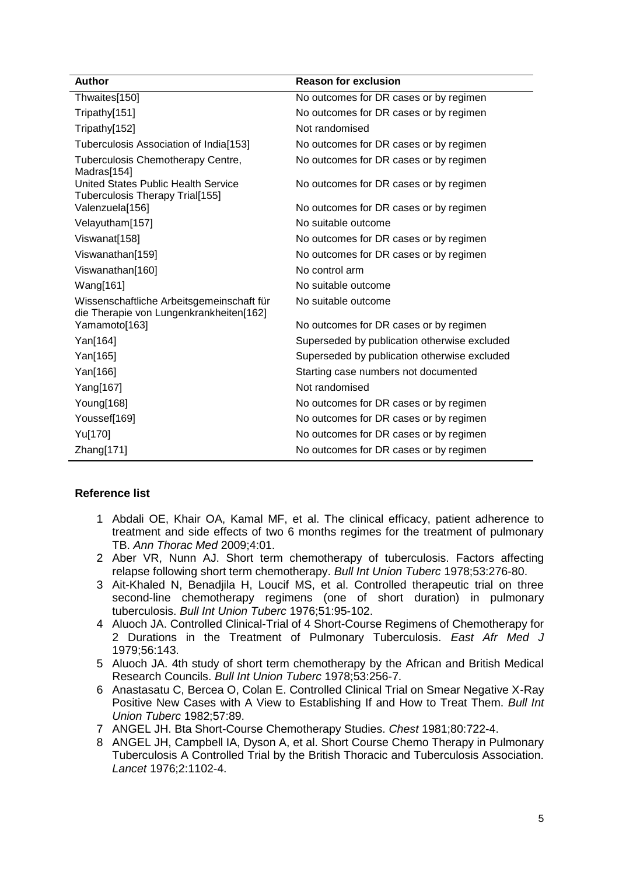| <b>Author</b>                                                                        | <b>Reason for exclusion</b>                  |
|--------------------------------------------------------------------------------------|----------------------------------------------|
| Thwaites[150]                                                                        | No outcomes for DR cases or by regimen       |
| Tripathy[151]                                                                        | No outcomes for DR cases or by regimen       |
| Tripathy[152]                                                                        | Not randomised                               |
| Tuberculosis Association of India[153]                                               | No outcomes for DR cases or by regimen       |
| Tuberculosis Chemotherapy Centre,<br>Madras[154]                                     | No outcomes for DR cases or by regimen       |
| United States Public Health Service<br>Tuberculosis Therapy Trial[155]               | No outcomes for DR cases or by regimen       |
| Valenzuela[156]                                                                      | No outcomes for DR cases or by regimen       |
| Velayutham[157]                                                                      | No suitable outcome                          |
| Viswanat[158]                                                                        | No outcomes for DR cases or by regimen       |
| Viswanathan[159]                                                                     | No outcomes for DR cases or by regimen       |
| Viswanathan[160]                                                                     | No control arm                               |
| Wang[161]                                                                            | No suitable outcome                          |
| Wissenschaftliche Arbeitsgemeinschaft für<br>die Therapie von Lungenkrankheiten[162] | No suitable outcome                          |
| Yamamoto[163]                                                                        | No outcomes for DR cases or by regimen       |
| Yan[164]                                                                             | Superseded by publication otherwise excluded |
| Yan[165]                                                                             | Superseded by publication otherwise excluded |
| Yan[166]                                                                             | Starting case numbers not documented         |
| Yang[167]                                                                            | Not randomised                               |
| Young[168]                                                                           | No outcomes for DR cases or by regimen       |
| Youssef[169]                                                                         | No outcomes for DR cases or by regimen       |
| Yu[170]                                                                              | No outcomes for DR cases or by regimen       |
| Zhang[171]                                                                           | No outcomes for DR cases or by regimen       |

## **Reference list**

- 1 Abdali OE, Khair OA, Kamal MF, et al. The clinical efficacy, patient adherence to treatment and side effects of two 6 months regimes for the treatment of pulmonary TB. *Ann Thorac Med* 2009;4:01.
- 2 Aber VR, Nunn AJ. Short term chemotherapy of tuberculosis. Factors affecting relapse following short term chemotherapy. *Bull Int Union Tuberc* 1978;53:276-80.
- 3 Ait-Khaled N, Benadjila H, Loucif MS, et al. Controlled therapeutic trial on three second-line chemotherapy regimens (one of short duration) in pulmonary tuberculosis. *Bull Int Union Tuberc* 1976;51:95-102.
- 4 Aluoch JA. Controlled Clinical-Trial of 4 Short-Course Regimens of Chemotherapy for 2 Durations in the Treatment of Pulmonary Tuberculosis. *East Afr Med J* 1979;56:143.
- 5 Aluoch JA. 4th study of short term chemotherapy by the African and British Medical Research Councils. *Bull Int Union Tuberc* 1978;53:256-7.
- 6 Anastasatu C, Bercea O, Colan E. Controlled Clinical Trial on Smear Negative X-Ray Positive New Cases with A View to Establishing If and How to Treat Them. *Bull Int Union Tuberc* 1982;57:89.
- 7 ANGEL JH. Bta Short-Course Chemotherapy Studies. *Chest* 1981;80:722-4.
- 8 ANGEL JH, Campbell IA, Dyson A, et al. Short Course Chemo Therapy in Pulmonary Tuberculosis A Controlled Trial by the British Thoracic and Tuberculosis Association. *Lancet* 1976;2:1102-4.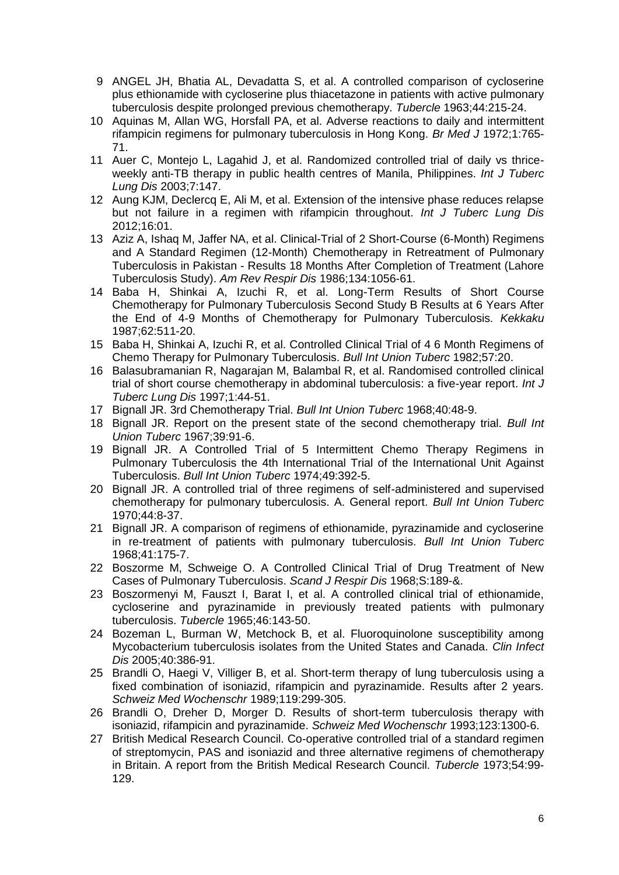- 9 ANGEL JH, Bhatia AL, Devadatta S, et al. A controlled comparison of cycloserine plus ethionamide with cycloserine plus thiacetazone in patients with active pulmonary tuberculosis despite prolonged previous chemotherapy. *Tubercle* 1963;44:215-24.
- 10 Aquinas M, Allan WG, Horsfall PA, et al. Adverse reactions to daily and intermittent rifampicin regimens for pulmonary tuberculosis in Hong Kong. *Br Med J* 1972;1:765- 71.
- 11 Auer C, Montejo L, Lagahid J, et al. Randomized controlled trial of daily vs thriceweekly anti-TB therapy in public health centres of Manila, Philippines. *Int J Tuberc Lung Dis* 2003;7:147.
- 12 Aung KJM, Declercq E, Ali M, et al. Extension of the intensive phase reduces relapse but not failure in a regimen with rifampicin throughout. *Int J Tuberc Lung Dis* 2012;16:01.
- 13 Aziz A, Ishaq M, Jaffer NA, et al. Clinical-Trial of 2 Short-Course (6-Month) Regimens and A Standard Regimen (12-Month) Chemotherapy in Retreatment of Pulmonary Tuberculosis in Pakistan - Results 18 Months After Completion of Treatment (Lahore Tuberculosis Study). *Am Rev Respir Dis* 1986;134:1056-61.
- 14 Baba H, Shinkai A, Izuchi R, et al. Long-Term Results of Short Course Chemotherapy for Pulmonary Tuberculosis Second Study B Results at 6 Years After the End of 4-9 Months of Chemotherapy for Pulmonary Tuberculosis. *Kekkaku* 1987;62:511-20.
- 15 Baba H, Shinkai A, Izuchi R, et al. Controlled Clinical Trial of 4 6 Month Regimens of Chemo Therapy for Pulmonary Tuberculosis. *Bull Int Union Tuberc* 1982;57:20.
- 16 Balasubramanian R, Nagarajan M, Balambal R, et al. Randomised controlled clinical trial of short course chemotherapy in abdominal tuberculosis: a five-year report. *Int J Tuberc Lung Dis* 1997;1:44-51.
- 17 Bignall JR. 3rd Chemotherapy Trial. *Bull Int Union Tuberc* 1968;40:48-9.
- 18 Bignall JR. Report on the present state of the second chemotherapy trial. *Bull Int Union Tuberc* 1967;39:91-6.
- 19 Bignall JR. A Controlled Trial of 5 Intermittent Chemo Therapy Regimens in Pulmonary Tuberculosis the 4th International Trial of the International Unit Against Tuberculosis. *Bull Int Union Tuberc* 1974;49:392-5.
- 20 Bignall JR. A controlled trial of three regimens of self-administered and supervised chemotherapy for pulmonary tuberculosis. A. General report. *Bull Int Union Tuberc* 1970;44:8-37.
- 21 Bignall JR. A comparison of regimens of ethionamide, pyrazinamide and cycloserine in re-treatment of patients with pulmonary tuberculosis. *Bull Int Union Tuberc* 1968;41:175-7.
- 22 Boszorme M, Schweige O. A Controlled Clinical Trial of Drug Treatment of New Cases of Pulmonary Tuberculosis. *Scand J Respir Dis* 1968;S:189-&.
- 23 Boszormenyi M, Fauszt I, Barat I, et al. A controlled clinical trial of ethionamide, cycloserine and pyrazinamide in previously treated patients with pulmonary tuberculosis. *Tubercle* 1965;46:143-50.
- 24 Bozeman L, Burman W, Metchock B, et al. Fluoroquinolone susceptibility among Mycobacterium tuberculosis isolates from the United States and Canada. *Clin Infect Dis* 2005;40:386-91.
- 25 Brandli O, Haegi V, Villiger B, et al. Short-term therapy of lung tuberculosis using a fixed combination of isoniazid, rifampicin and pyrazinamide. Results after 2 years. *Schweiz Med Wochenschr* 1989;119:299-305.
- 26 Brandli O, Dreher D, Morger D. Results of short-term tuberculosis therapy with isoniazid, rifampicin and pyrazinamide. *Schweiz Med Wochenschr* 1993;123:1300-6.
- 27 British Medical Research Council. Co-operative controlled trial of a standard regimen of streptomycin, PAS and isoniazid and three alternative regimens of chemotherapy in Britain. A report from the British Medical Research Council. *Tubercle* 1973;54:99- 129.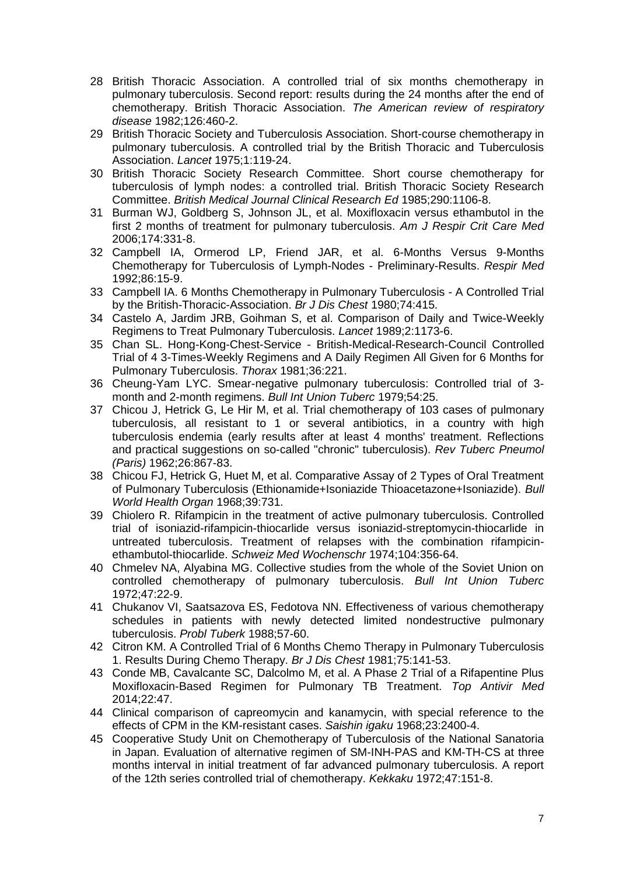- 28 British Thoracic Association. A controlled trial of six months chemotherapy in pulmonary tuberculosis. Second report: results during the 24 months after the end of chemotherapy. British Thoracic Association. *The American review of respiratory disease* 1982;126:460-2.
- 29 British Thoracic Society and Tuberculosis Association. Short-course chemotherapy in pulmonary tuberculosis. A controlled trial by the British Thoracic and Tuberculosis Association. *Lancet* 1975;1:119-24.
- 30 British Thoracic Society Research Committee. Short course chemotherapy for tuberculosis of lymph nodes: a controlled trial. British Thoracic Society Research Committee. *British Medical Journal Clinical Research Ed* 1985;290:1106-8.
- 31 Burman WJ, Goldberg S, Johnson JL, et al. Moxifloxacin versus ethambutol in the first 2 months of treatment for pulmonary tuberculosis. *Am J Respir Crit Care Med* 2006;174:331-8.
- 32 Campbell IA, Ormerod LP, Friend JAR, et al. 6-Months Versus 9-Months Chemotherapy for Tuberculosis of Lymph-Nodes - Preliminary-Results. *Respir Med* 1992;86:15-9.
- 33 Campbell IA. 6 Months Chemotherapy in Pulmonary Tuberculosis A Controlled Trial by the British-Thoracic-Association. *Br J Dis Chest* 1980;74:415.
- 34 Castelo A, Jardim JRB, Goihman S, et al. Comparison of Daily and Twice-Weekly Regimens to Treat Pulmonary Tuberculosis. *Lancet* 1989;2:1173-6.
- 35 Chan SL. Hong-Kong-Chest-Service British-Medical-Research-Council Controlled Trial of 4 3-Times-Weekly Regimens and A Daily Regimen All Given for 6 Months for Pulmonary Tuberculosis. *Thorax* 1981;36:221.
- 36 Cheung-Yam LYC. Smear-negative pulmonary tuberculosis: Controlled trial of 3 month and 2-month regimens. *Bull Int Union Tuberc* 1979;54:25.
- 37 Chicou J, Hetrick G, Le Hir M, et al. Trial chemotherapy of 103 cases of pulmonary tuberculosis, all resistant to 1 or several antibiotics, in a country with high tuberculosis endemia (early results after at least 4 months' treatment. Reflections and practical suggestions on so-called "chronic" tuberculosis). *Rev Tuberc Pneumol (Paris)* 1962;26:867-83.
- 38 Chicou FJ, Hetrick G, Huet M, et al. Comparative Assay of 2 Types of Oral Treatment of Pulmonary Tuberculosis (Ethionamide+Isoniazide Thioacetazone+Isoniazide). *Bull World Health Organ* 1968;39:731.
- 39 Chiolero R. Rifampicin in the treatment of active pulmonary tuberculosis. Controlled trial of isoniazid-rifampicin-thiocarlide versus isoniazid-streptomycin-thiocarlide in untreated tuberculosis. Treatment of relapses with the combination rifampicinethambutol-thiocarlide. *Schweiz Med Wochenschr* 1974;104:356-64.
- 40 Chmelev NA, Alyabina MG. Collective studies from the whole of the Soviet Union on controlled chemotherapy of pulmonary tuberculosis. *Bull Int Union Tuberc* 1972;47:22-9.
- 41 Chukanov VI, Saatsazova ES, Fedotova NN. Effectiveness of various chemotherapy schedules in patients with newly detected limited nondestructive pulmonary tuberculosis. *Probl Tuberk* 1988;57-60.
- 42 Citron KM. A Controlled Trial of 6 Months Chemo Therapy in Pulmonary Tuberculosis 1. Results During Chemo Therapy. *Br J Dis Chest* 1981;75:141-53.
- 43 Conde MB, Cavalcante SC, Dalcolmo M, et al. A Phase 2 Trial of a Rifapentine Plus Moxifloxacin-Based Regimen for Pulmonary TB Treatment. *Top Antivir Med* 2014;22:47.
- 44 Clinical comparison of capreomycin and kanamycin, with special reference to the effects of CPM in the KM-resistant cases. *Saishin igaku* 1968;23:2400-4.
- 45 Cooperative Study Unit on Chemotherapy of Tuberculosis of the National Sanatoria in Japan. Evaluation of alternative regimen of SM-INH-PAS and KM-TH-CS at three months interval in initial treatment of far advanced pulmonary tuberculosis. A report of the 12th series controlled trial of chemotherapy. *Kekkaku* 1972;47:151-8.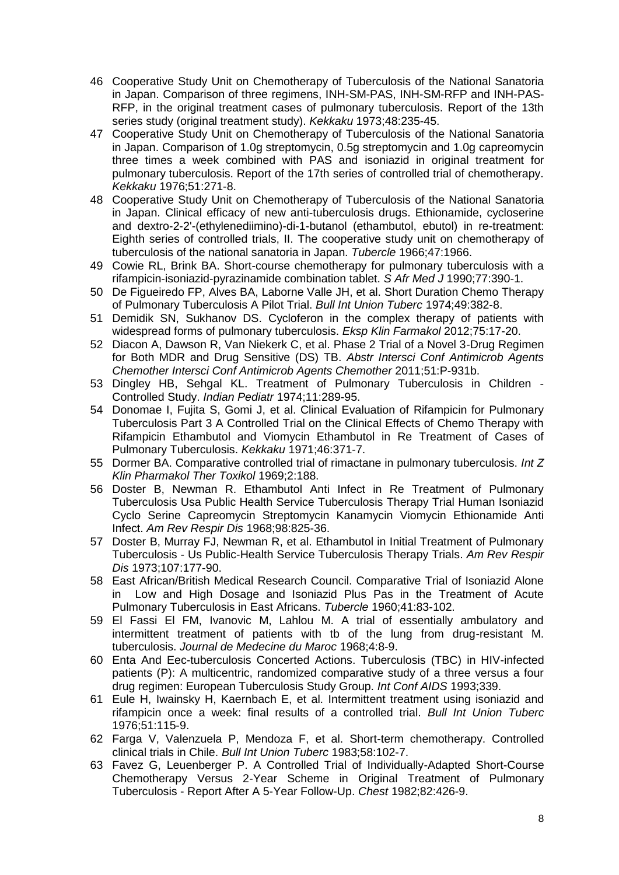- 46 Cooperative Study Unit on Chemotherapy of Tuberculosis of the National Sanatoria in Japan. Comparison of three regimens, INH-SM-PAS, INH-SM-RFP and INH-PAS-RFP, in the original treatment cases of pulmonary tuberculosis. Report of the 13th series study (original treatment study). *Kekkaku* 1973;48:235-45.
- 47 Cooperative Study Unit on Chemotherapy of Tuberculosis of the National Sanatoria in Japan. Comparison of 1.0g streptomycin, 0.5g streptomycin and 1.0g capreomycin three times a week combined with PAS and isoniazid in original treatment for pulmonary tuberculosis. Report of the 17th series of controlled trial of chemotherapy. *Kekkaku* 1976;51:271-8.
- 48 Cooperative Study Unit on Chemotherapy of Tuberculosis of the National Sanatoria in Japan. Clinical efficacy of new anti-tuberculosis drugs. Ethionamide, cycloserine and dextro-2-2'-(ethylenediimino)-di-1-butanol (ethambutol, ebutol) in re-treatment: Eighth series of controlled trials, II. The cooperative study unit on chemotherapy of tuberculosis of the national sanatoria in Japan. *Tubercle* 1966;47:1966.
- 49 Cowie RL, Brink BA. Short-course chemotherapy for pulmonary tuberculosis with a rifampicin-isoniazid-pyrazinamide combination tablet. *S Afr Med J* 1990;77:390-1.
- 50 De Figueiredo FP, Alves BA, Laborne Valle JH, et al. Short Duration Chemo Therapy of Pulmonary Tuberculosis A Pilot Trial. *Bull Int Union Tuberc* 1974;49:382-8.
- 51 Demidik SN, Sukhanov DS. Cycloferon in the complex therapy of patients with widespread forms of pulmonary tuberculosis. *Eksp Klin Farmakol* 2012;75:17-20.
- 52 Diacon A, Dawson R, Van Niekerk C, et al. Phase 2 Trial of a Novel 3-Drug Regimen for Both MDR and Drug Sensitive (DS) TB. *Abstr Intersci Conf Antimicrob Agents Chemother Intersci Conf Antimicrob Agents Chemother* 2011;51:P-931b.
- 53 Dingley HB, Sehgal KL. Treatment of Pulmonary Tuberculosis in Children Controlled Study. *Indian Pediatr* 1974;11:289-95.
- 54 Donomae I, Fujita S, Gomi J, et al. Clinical Evaluation of Rifampicin for Pulmonary Tuberculosis Part 3 A Controlled Trial on the Clinical Effects of Chemo Therapy with Rifampicin Ethambutol and Viomycin Ethambutol in Re Treatment of Cases of Pulmonary Tuberculosis. *Kekkaku* 1971;46:371-7.
- 55 Dormer BA. Comparative controlled trial of rimactane in pulmonary tuberculosis. *Int Z Klin Pharmakol Ther Toxikol* 1969;2:188.
- 56 Doster B, Newman R. Ethambutol Anti Infect in Re Treatment of Pulmonary Tuberculosis Usa Public Health Service Tuberculosis Therapy Trial Human Isoniazid Cyclo Serine Capreomycin Streptomycin Kanamycin Viomycin Ethionamide Anti Infect. *Am Rev Respir Dis* 1968;98:825-36.
- 57 Doster B, Murray FJ, Newman R, et al. Ethambutol in Initial Treatment of Pulmonary Tuberculosis - Us Public-Health Service Tuberculosis Therapy Trials. *Am Rev Respir Dis* 1973;107:177-90.
- 58 East African/British Medical Research Council. Comparative Trial of Isoniazid Alone in Low and High Dosage and Isoniazid Plus Pas in the Treatment of Acute Pulmonary Tuberculosis in East Africans. *Tubercle* 1960;41:83-102.
- 59 El Fassi El FM, Ivanovic M, Lahlou M. A trial of essentially ambulatory and intermittent treatment of patients with tb of the lung from drug-resistant M. tuberculosis. *Journal de Medecine du Maroc* 1968;4:8-9.
- 60 Enta And Eec-tuberculosis Concerted Actions. Tuberculosis (TBC) in HIV-infected patients (P): A multicentric, randomized comparative study of a three versus a four drug regimen: European Tuberculosis Study Group. *Int Conf AIDS* 1993;339.
- 61 Eule H, Iwainsky H, Kaernbach E, et al. Intermittent treatment using isoniazid and rifampicin once a week: final results of a controlled trial. *Bull Int Union Tuberc* 1976;51:115-9.
- 62 Farga V, Valenzuela P, Mendoza F, et al. Short-term chemotherapy. Controlled clinical trials in Chile. *Bull Int Union Tuberc* 1983;58:102-7.
- 63 Favez G, Leuenberger P. A Controlled Trial of Individually-Adapted Short-Course Chemotherapy Versus 2-Year Scheme in Original Treatment of Pulmonary Tuberculosis - Report After A 5-Year Follow-Up. *Chest* 1982;82:426-9.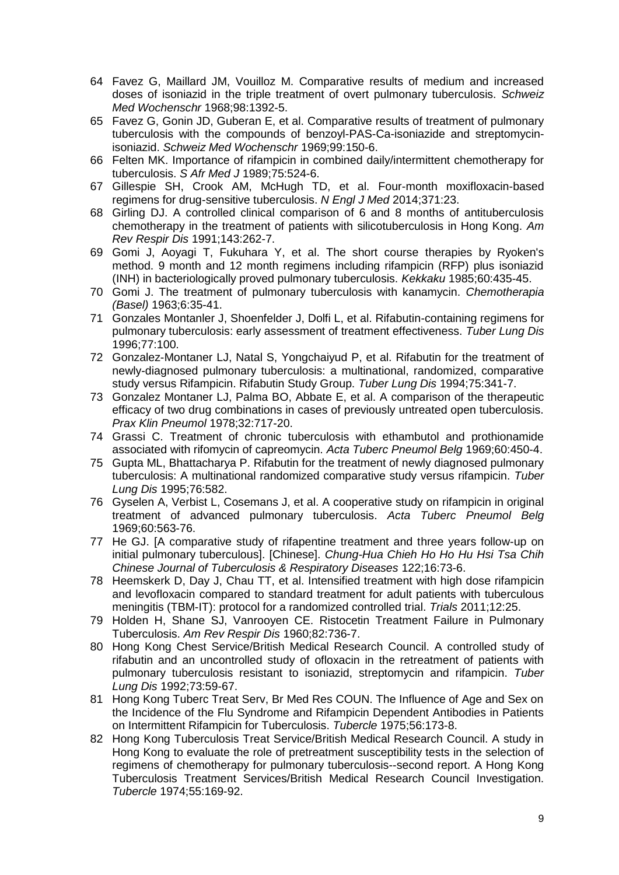- 64 Favez G, Maillard JM, Vouilloz M. Comparative results of medium and increased doses of isoniazid in the triple treatment of overt pulmonary tuberculosis. *Schweiz Med Wochenschr* 1968;98:1392-5.
- 65 Favez G, Gonin JD, Guberan E, et al. Comparative results of treatment of pulmonary tuberculosis with the compounds of benzoyl-PAS-Ca-isoniazide and streptomycinisoniazid. *Schweiz Med Wochenschr* 1969;99:150-6.
- 66 Felten MK. Importance of rifampicin in combined daily/intermittent chemotherapy for tuberculosis. *S Afr Med J* 1989;75:524-6.
- 67 Gillespie SH, Crook AM, McHugh TD, et al. Four-month moxifloxacin-based regimens for drug-sensitive tuberculosis. *N Engl J Med* 2014;371:23.
- 68 Girling DJ. A controlled clinical comparison of 6 and 8 months of antituberculosis chemotherapy in the treatment of patients with silicotuberculosis in Hong Kong. *Am Rev Respir Dis* 1991;143:262-7.
- 69 Gomi J, Aoyagi T, Fukuhara Y, et al. The short course therapies by Ryoken's method. 9 month and 12 month regimens including rifampicin (RFP) plus isoniazid (INH) in bacteriologically proved pulmonary tuberculosis. *Kekkaku* 1985;60:435-45.
- 70 Gomi J. The treatment of pulmonary tuberculosis with kanamycin. *Chemotherapia (Basel)* 1963;6:35-41.
- 71 Gonzales Montanler J, Shoenfelder J, Dolfi L, et al. Rifabutin-containing regimens for pulmonary tuberculosis: early assessment of treatment effectiveness. *Tuber Lung Dis* 1996;77:100.
- 72 Gonzalez-Montaner LJ, Natal S, Yongchaiyud P, et al. Rifabutin for the treatment of newly-diagnosed pulmonary tuberculosis: a multinational, randomized, comparative study versus Rifampicin. Rifabutin Study Group. *Tuber Lung Dis* 1994;75:341-7.
- 73 Gonzalez Montaner LJ, Palma BO, Abbate E, et al. A comparison of the therapeutic efficacy of two drug combinations in cases of previously untreated open tuberculosis. *Prax Klin Pneumol* 1978;32:717-20.
- 74 Grassi C. Treatment of chronic tuberculosis with ethambutol and prothionamide associated with rifomycin of capreomycin. *Acta Tuberc Pneumol Belg* 1969;60:450-4.
- 75 Gupta ML, Bhattacharya P. Rifabutin for the treatment of newly diagnosed pulmonary tuberculosis: A multinational randomized comparative study versus rifampicin. *Tuber Lung Dis* 1995;76:582.
- 76 Gyselen A, Verbist L, Cosemans J, et al. A cooperative study on rifampicin in original treatment of advanced pulmonary tuberculosis. *Acta Tuberc Pneumol Belg* 1969;60:563-76.
- 77 He GJ. [A comparative study of rifapentine treatment and three years follow-up on initial pulmonary tuberculous]. [Chinese]. *Chung-Hua Chieh Ho Ho Hu Hsi Tsa Chih Chinese Journal of Tuberculosis & Respiratory Diseases* 122;16:73-6.
- 78 Heemskerk D, Day J, Chau TT, et al. Intensified treatment with high dose rifampicin and levofloxacin compared to standard treatment for adult patients with tuberculous meningitis (TBM-IT): protocol for a randomized controlled trial. *Trials* 2011;12:25.
- 79 Holden H, Shane SJ, Vanrooyen CE. Ristocetin Treatment Failure in Pulmonary Tuberculosis. *Am Rev Respir Dis* 1960;82:736-7.
- 80 Hong Kong Chest Service/British Medical Research Council. A controlled study of rifabutin and an uncontrolled study of ofloxacin in the retreatment of patients with pulmonary tuberculosis resistant to isoniazid, streptomycin and rifampicin. *Tuber Lung Dis* 1992;73:59-67.
- 81 Hong Kong Tuberc Treat Serv, Br Med Res COUN. The Influence of Age and Sex on the Incidence of the Flu Syndrome and Rifampicin Dependent Antibodies in Patients on Intermittent Rifampicin for Tuberculosis. *Tubercle* 1975;56:173-8.
- 82 Hong Kong Tuberculosis Treat Service/British Medical Research Council. A study in Hong Kong to evaluate the role of pretreatment susceptibility tests in the selection of regimens of chemotherapy for pulmonary tuberculosis--second report. A Hong Kong Tuberculosis Treatment Services/British Medical Research Council Investigation. *Tubercle* 1974;55:169-92.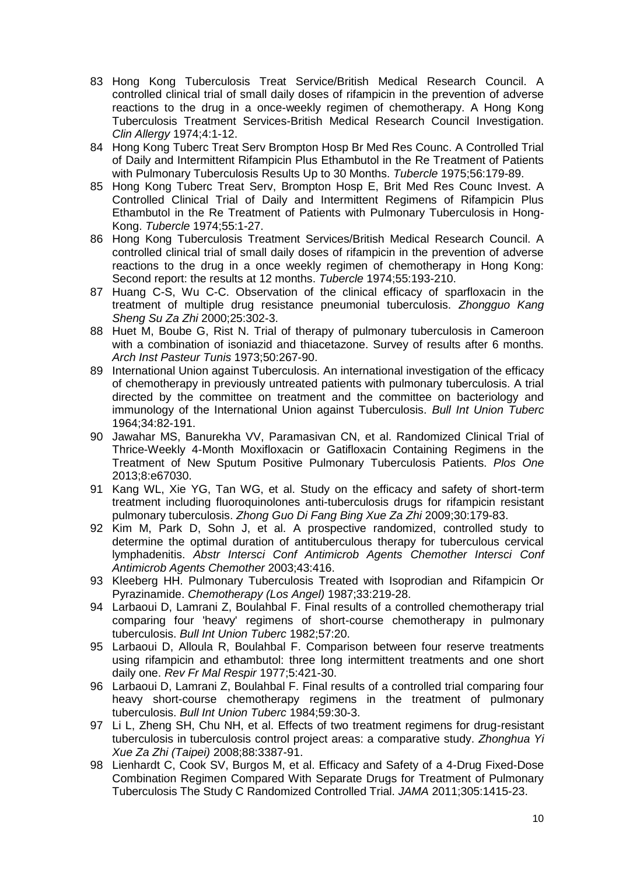- 83 Hong Kong Tuberculosis Treat Service/British Medical Research Council. A controlled clinical trial of small daily doses of rifampicin in the prevention of adverse reactions to the drug in a once-weekly regimen of chemotherapy. A Hong Kong Tuberculosis Treatment Services-British Medical Research Council Investigation. *Clin Allergy* 1974;4:1-12.
- 84 Hong Kong Tuberc Treat Serv Brompton Hosp Br Med Res Counc. A Controlled Trial of Daily and Intermittent Rifampicin Plus Ethambutol in the Re Treatment of Patients with Pulmonary Tuberculosis Results Up to 30 Months. *Tubercle* 1975;56:179-89.
- 85 Hong Kong Tuberc Treat Serv, Brompton Hosp E, Brit Med Res Counc Invest. A Controlled Clinical Trial of Daily and Intermittent Regimens of Rifampicin Plus Ethambutol in the Re Treatment of Patients with Pulmonary Tuberculosis in Hong-Kong. *Tubercle* 1974;55:1-27.
- 86 Hong Kong Tuberculosis Treatment Services/British Medical Research Council. A controlled clinical trial of small daily doses of rifampicin in the prevention of adverse reactions to the drug in a once weekly regimen of chemotherapy in Hong Kong: Second report: the results at 12 months. *Tubercle* 1974;55:193-210.
- 87 Huang C-S, Wu C-C. Observation of the clinical efficacy of sparfloxacin in the treatment of multiple drug resistance pneumonial tuberculosis. *Zhongguo Kang Sheng Su Za Zhi* 2000;25:302-3.
- 88 Huet M, Boube G, Rist N. Trial of therapy of pulmonary tuberculosis in Cameroon with a combination of isoniazid and thiacetazone. Survey of results after 6 months. *Arch Inst Pasteur Tunis* 1973;50:267-90.
- 89 International Union against Tuberculosis. An international investigation of the efficacy of chemotherapy in previously untreated patients with pulmonary tuberculosis. A trial directed by the committee on treatment and the committee on bacteriology and immunology of the International Union against Tuberculosis. *Bull Int Union Tuberc* 1964;34:82-191.
- 90 Jawahar MS, Banurekha VV, Paramasivan CN, et al. Randomized Clinical Trial of Thrice-Weekly 4-Month Moxifloxacin or Gatifloxacin Containing Regimens in the Treatment of New Sputum Positive Pulmonary Tuberculosis Patients. *Plos One* 2013;8:e67030.
- 91 Kang WL, Xie YG, Tan WG, et al. Study on the efficacy and safety of short-term treatment including fluoroquinolones anti-tuberculosis drugs for rifampicin resistant pulmonary tuberculosis. *Zhong Guo Di Fang Bing Xue Za Zhi* 2009;30:179-83.
- 92 Kim M, Park D, Sohn J, et al. A prospective randomized, controlled study to determine the optimal duration of antituberculous therapy for tuberculous cervical lymphadenitis. *Abstr Intersci Conf Antimicrob Agents Chemother Intersci Conf Antimicrob Agents Chemother* 2003;43:416.
- 93 Kleeberg HH. Pulmonary Tuberculosis Treated with Isoprodian and Rifampicin Or Pyrazinamide. *Chemotherapy (Los Angel)* 1987;33:219-28.
- 94 Larbaoui D, Lamrani Z, Boulahbal F. Final results of a controlled chemotherapy trial comparing four 'heavy' regimens of short-course chemotherapy in pulmonary tuberculosis. *Bull Int Union Tuberc* 1982;57:20.
- 95 Larbaoui D, Alloula R, Boulahbal F. Comparison between four reserve treatments using rifampicin and ethambutol: three long intermittent treatments and one short daily one. *Rev Fr Mal Respir* 1977;5:421-30.
- 96 Larbaoui D, Lamrani Z, Boulahbal F. Final results of a controlled trial comparing four heavy short-course chemotherapy regimens in the treatment of pulmonary tuberculosis. *Bull Int Union Tuberc* 1984;59:30-3.
- 97 Li L, Zheng SH, Chu NH, et al. Effects of two treatment regimens for drug-resistant tuberculosis in tuberculosis control project areas: a comparative study. *Zhonghua Yi Xue Za Zhi (Taipei)* 2008;88:3387-91.
- 98 Lienhardt C, Cook SV, Burgos M, et al. Efficacy and Safety of a 4-Drug Fixed-Dose Combination Regimen Compared With Separate Drugs for Treatment of Pulmonary Tuberculosis The Study C Randomized Controlled Trial. *JAMA* 2011;305:1415-23.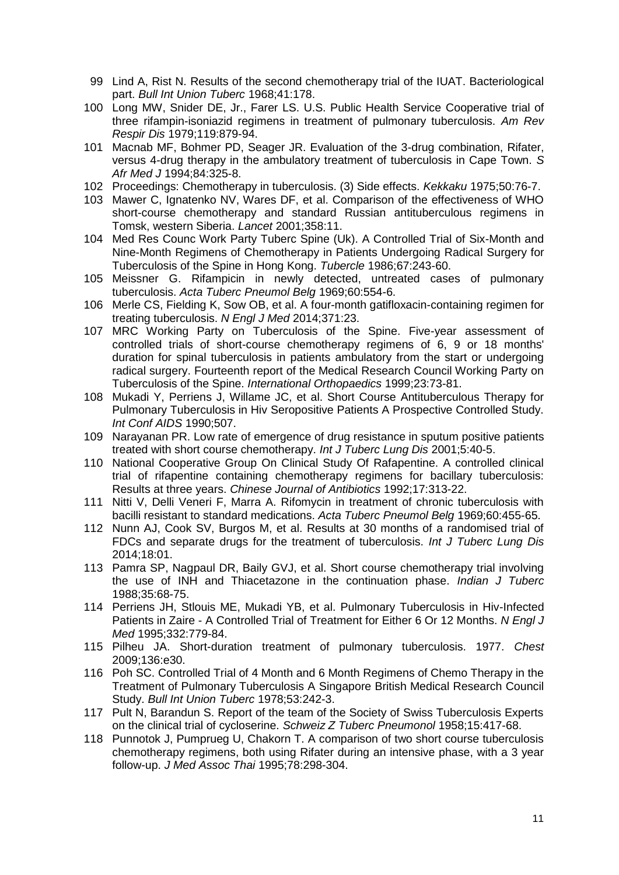- 99 Lind A, Rist N. Results of the second chemotherapy trial of the IUAT. Bacteriological part. *Bull Int Union Tuberc* 1968;41:178.
- 100 Long MW, Snider DE, Jr., Farer LS. U.S. Public Health Service Cooperative trial of three rifampin-isoniazid regimens in treatment of pulmonary tuberculosis. *Am Rev Respir Dis* 1979;119:879-94.
- 101 Macnab MF, Bohmer PD, Seager JR. Evaluation of the 3-drug combination, Rifater, versus 4-drug therapy in the ambulatory treatment of tuberculosis in Cape Town. *S Afr Med J* 1994;84:325-8.
- 102 Proceedings: Chemotherapy in tuberculosis. (3) Side effects. *Kekkaku* 1975;50:76-7.
- 103 Mawer C, Ignatenko NV, Wares DF, et al. Comparison of the effectiveness of WHO short-course chemotherapy and standard Russian antituberculous regimens in Tomsk, western Siberia. *Lancet* 2001;358:11.
- 104 Med Res Counc Work Party Tuberc Spine (Uk). A Controlled Trial of Six-Month and Nine-Month Regimens of Chemotherapy in Patients Undergoing Radical Surgery for Tuberculosis of the Spine in Hong Kong. *Tubercle* 1986;67:243-60.
- 105 Meissner G. Rifampicin in newly detected, untreated cases of pulmonary tuberculosis. *Acta Tuberc Pneumol Belg* 1969;60:554-6.
- 106 Merle CS, Fielding K, Sow OB, et al. A four-month gatifloxacin-containing regimen for treating tuberculosis. *N Engl J Med* 2014;371:23.
- 107 MRC Working Party on Tuberculosis of the Spine. Five-year assessment of controlled trials of short-course chemotherapy regimens of 6, 9 or 18 months' duration for spinal tuberculosis in patients ambulatory from the start or undergoing radical surgery. Fourteenth report of the Medical Research Council Working Party on Tuberculosis of the Spine. *International Orthopaedics* 1999;23:73-81.
- 108 Mukadi Y, Perriens J, Willame JC, et al. Short Course Antituberculous Therapy for Pulmonary Tuberculosis in Hiv Seropositive Patients A Prospective Controlled Study. *Int Conf AIDS* 1990;507.
- 109 Narayanan PR. Low rate of emergence of drug resistance in sputum positive patients treated with short course chemotherapy. *Int J Tuberc Lung Dis* 2001;5:40-5.
- 110 National Cooperative Group On Clinical Study Of Rafapentine. A controlled clinical trial of rifapentine containing chemotherapy regimens for bacillary tuberculosis: Results at three years. *Chinese Journal of Antibiotics* 1992;17:313-22.
- 111 Nitti V, Delli Veneri F, Marra A. Rifomycin in treatment of chronic tuberculosis with bacilli resistant to standard medications. *Acta Tuberc Pneumol Belg* 1969;60:455-65.
- 112 Nunn AJ, Cook SV, Burgos M, et al. Results at 30 months of a randomised trial of FDCs and separate drugs for the treatment of tuberculosis. *Int J Tuberc Lung Dis* 2014;18:01.
- 113 Pamra SP, Nagpaul DR, Baily GVJ, et al. Short course chemotherapy trial involving the use of INH and Thiacetazone in the continuation phase. *Indian J Tuberc* 1988;35:68-75.
- 114 Perriens JH, Stlouis ME, Mukadi YB, et al. Pulmonary Tuberculosis in Hiv-Infected Patients in Zaire - A Controlled Trial of Treatment for Either 6 Or 12 Months. *N Engl J Med* 1995;332:779-84.
- 115 Pilheu JA. Short-duration treatment of pulmonary tuberculosis. 1977. *Chest* 2009;136:e30.
- 116 Poh SC. Controlled Trial of 4 Month and 6 Month Regimens of Chemo Therapy in the Treatment of Pulmonary Tuberculosis A Singapore British Medical Research Council Study. *Bull Int Union Tuberc* 1978;53:242-3.
- 117 Pult N, Barandun S. Report of the team of the Society of Swiss Tuberculosis Experts on the clinical trial of cycloserine. *Schweiz Z Tuberc Pneumonol* 1958;15:417-68.
- 118 Punnotok J, Pumprueg U, Chakorn T. A comparison of two short course tuberculosis chemotherapy regimens, both using Rifater during an intensive phase, with a 3 year follow-up. *J Med Assoc Thai* 1995;78:298-304.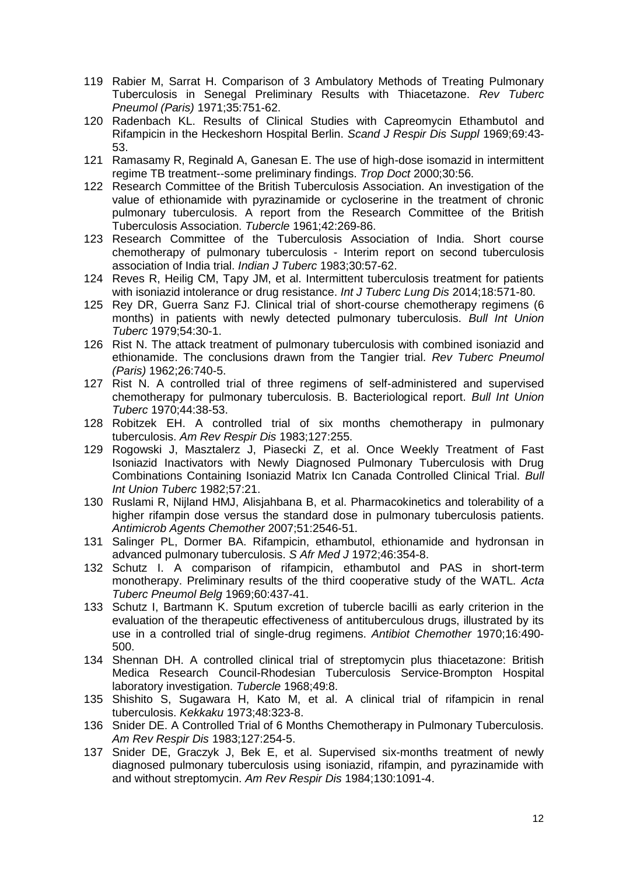- 119 Rabier M, Sarrat H. Comparison of 3 Ambulatory Methods of Treating Pulmonary Tuberculosis in Senegal Preliminary Results with Thiacetazone. *Rev Tuberc Pneumol (Paris)* 1971;35:751-62.
- 120 Radenbach KL. Results of Clinical Studies with Capreomycin Ethambutol and Rifampicin in the Heckeshorn Hospital Berlin. *Scand J Respir Dis Suppl* 1969;69:43- 53.
- 121 Ramasamy R, Reginald A, Ganesan E. The use of high-dose isomazid in intermittent regime TB treatment--some preliminary findings. *Trop Doct* 2000;30:56.
- 122 Research Committee of the British Tuberculosis Association. An investigation of the value of ethionamide with pyrazinamide or cycloserine in the treatment of chronic pulmonary tuberculosis. A report from the Research Committee of the British Tuberculosis Association. *Tubercle* 1961;42:269-86.
- 123 Research Committee of the Tuberculosis Association of India. Short course chemotherapy of pulmonary tuberculosis - Interim report on second tuberculosis association of India trial. *Indian J Tuberc* 1983;30:57-62.
- 124 Reves R, Heilig CM, Tapy JM, et al. Intermittent tuberculosis treatment for patients with isoniazid intolerance or drug resistance. *Int J Tuberc Lung Dis* 2014;18:571-80.
- 125 Rey DR, Guerra Sanz FJ. Clinical trial of short-course chemotherapy regimens (6 months) in patients with newly detected pulmonary tuberculosis. *Bull Int Union Tuberc* 1979;54:30-1.
- 126 Rist N. The attack treatment of pulmonary tuberculosis with combined isoniazid and ethionamide. The conclusions drawn from the Tangier trial. *Rev Tuberc Pneumol (Paris)* 1962;26:740-5.
- 127 Rist N. A controlled trial of three regimens of self-administered and supervised chemotherapy for pulmonary tuberculosis. B. Bacteriological report. *Bull Int Union Tuberc* 1970;44:38-53.
- 128 Robitzek EH. A controlled trial of six months chemotherapy in pulmonary tuberculosis. *Am Rev Respir Dis* 1983;127:255.
- 129 Rogowski J, Masztalerz J, Piasecki Z, et al. Once Weekly Treatment of Fast Isoniazid Inactivators with Newly Diagnosed Pulmonary Tuberculosis with Drug Combinations Containing Isoniazid Matrix Icn Canada Controlled Clinical Trial. *Bull Int Union Tuberc* 1982;57:21.
- 130 Ruslami R, Nijland HMJ, Alisjahbana B, et al. Pharmacokinetics and tolerability of a higher rifampin dose versus the standard dose in pulmonary tuberculosis patients. *Antimicrob Agents Chemother* 2007;51:2546-51.
- 131 Salinger PL, Dormer BA. Rifampicin, ethambutol, ethionamide and hydronsan in advanced pulmonary tuberculosis. *S Afr Med J* 1972;46:354-8.
- 132 Schutz I. A comparison of rifampicin, ethambutol and PAS in short-term monotherapy. Preliminary results of the third cooperative study of the WATL. *Acta Tuberc Pneumol Belg* 1969;60:437-41.
- 133 Schutz I, Bartmann K. Sputum excretion of tubercle bacilli as early criterion in the evaluation of the therapeutic effectiveness of antituberculous drugs, illustrated by its use in a controlled trial of single-drug regimens. *Antibiot Chemother* 1970;16:490- 500.
- 134 Shennan DH. A controlled clinical trial of streptomycin plus thiacetazone: British Medica Research Council-Rhodesian Tuberculosis Service-Brompton Hospital laboratory investigation. *Tubercle* 1968;49:8.
- 135 Shishito S, Sugawara H, Kato M, et al. A clinical trial of rifampicin in renal tuberculosis. *Kekkaku* 1973;48:323-8.
- 136 Snider DE. A Controlled Trial of 6 Months Chemotherapy in Pulmonary Tuberculosis. *Am Rev Respir Dis* 1983;127:254-5.
- 137 Snider DE, Graczyk J, Bek E, et al. Supervised six-months treatment of newly diagnosed pulmonary tuberculosis using isoniazid, rifampin, and pyrazinamide with and without streptomycin. *Am Rev Respir Dis* 1984;130:1091-4.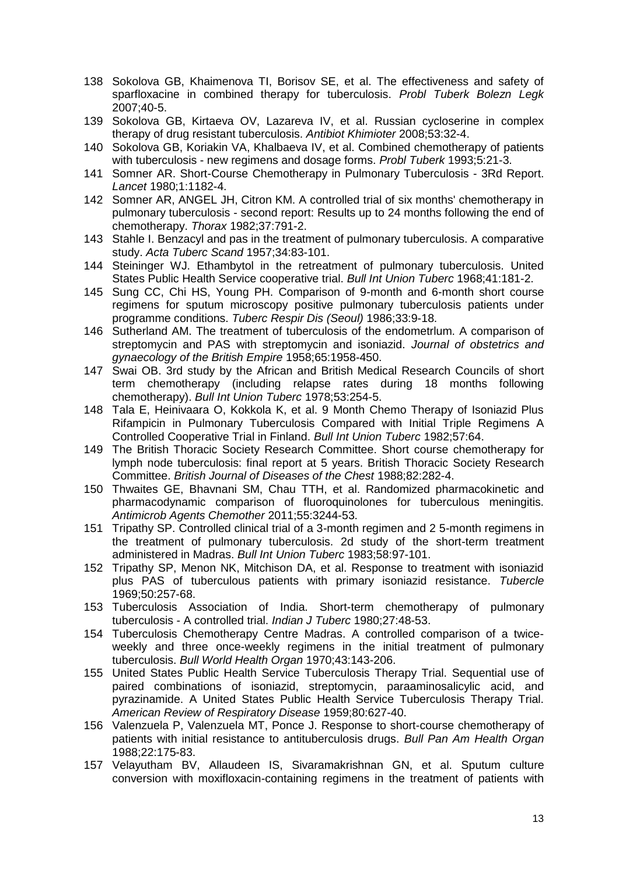- 138 Sokolova GB, Khaimenova TI, Borisov SE, et al. The effectiveness and safety of sparfloxacine in combined therapy for tuberculosis. *Probl Tuberk Bolezn Legk* 2007;40-5.
- 139 Sokolova GB, Kirtaeva OV, Lazareva IV, et al. Russian cycloserine in complex therapy of drug resistant tuberculosis. *Antibiot Khimioter* 2008;53:32-4.
- 140 Sokolova GB, Koriakin VA, Khalbaeva IV, et al. Combined chemotherapy of patients with tuberculosis - new regimens and dosage forms. *Probl Tuberk* 1993;5:21-3.
- 141 Somner AR. Short-Course Chemotherapy in Pulmonary Tuberculosis 3Rd Report. *Lancet* 1980;1:1182-4.
- 142 Somner AR, ANGEL JH, Citron KM. A controlled trial of six months' chemotherapy in pulmonary tuberculosis - second report: Results up to 24 months following the end of chemotherapy. *Thorax* 1982;37:791-2.
- 143 Stahle I. Benzacyl and pas in the treatment of pulmonary tuberculosis. A comparative study. *Acta Tuberc Scand* 1957;34:83-101.
- 144 Steininger WJ. Ethambytol in the retreatment of pulmonary tuberculosis. United States Public Health Service cooperative trial. *Bull Int Union Tuberc* 1968;41:181-2.
- 145 Sung CC, Chi HS, Young PH. Comparison of 9-month and 6-month short course regimens for sputum microscopy positive pulmonary tuberculosis patients under programme conditions. *Tuberc Respir Dis (Seoul)* 1986;33:9-18.
- 146 Sutherland AM. The treatment of tuberculosis of the endometrlum. A comparison of streptomycin and PAS with streptomycin and isoniazid. *Journal of obstetrics and gynaecology of the British Empire* 1958;65:1958-450.
- 147 Swai OB. 3rd study by the African and British Medical Research Councils of short term chemotherapy (including relapse rates during 18 months following chemotherapy). *Bull Int Union Tuberc* 1978;53:254-5.
- 148 Tala E, Heinivaara O, Kokkola K, et al. 9 Month Chemo Therapy of Isoniazid Plus Rifampicin in Pulmonary Tuberculosis Compared with Initial Triple Regimens A Controlled Cooperative Trial in Finland. *Bull Int Union Tuberc* 1982;57:64.
- 149 The British Thoracic Society Research Committee. Short course chemotherapy for lymph node tuberculosis: final report at 5 years. British Thoracic Society Research Committee. *British Journal of Diseases of the Chest* 1988;82:282-4.
- 150 Thwaites GE, Bhavnani SM, Chau TTH, et al. Randomized pharmacokinetic and pharmacodynamic comparison of fluoroquinolones for tuberculous meningitis. *Antimicrob Agents Chemother* 2011;55:3244-53.
- 151 Tripathy SP. Controlled clinical trial of a 3-month regimen and 2 5-month regimens in the treatment of pulmonary tuberculosis. 2d study of the short-term treatment administered in Madras. *Bull Int Union Tuberc* 1983;58:97-101.
- 152 Tripathy SP, Menon NK, Mitchison DA, et al. Response to treatment with isoniazid plus PAS of tuberculous patients with primary isoniazid resistance. *Tubercle* 1969;50:257-68.
- 153 Tuberculosis Association of India. Short-term chemotherapy of pulmonary tuberculosis - A controlled trial. *Indian J Tuberc* 1980;27:48-53.
- 154 Tuberculosis Chemotherapy Centre Madras. A controlled comparison of a twiceweekly and three once-weekly regimens in the initial treatment of pulmonary tuberculosis. *Bull World Health Organ* 1970;43:143-206.
- 155 United States Public Health Service Tuberculosis Therapy Trial. Sequential use of paired combinations of isoniazid, streptomycin, paraaminosalicylic acid, and pyrazinamide. A United States Public Health Service Tuberculosis Therapy Trial. *American Review of Respiratory Disease* 1959;80:627-40.
- 156 Valenzuela P, Valenzuela MT, Ponce J. Response to short-course chemotherapy of patients with initial resistance to antituberculosis drugs. *Bull Pan Am Health Organ* 1988;22:175-83.
- 157 Velayutham BV, Allaudeen IS, Sivaramakrishnan GN, et al. Sputum culture conversion with moxifloxacin-containing regimens in the treatment of patients with